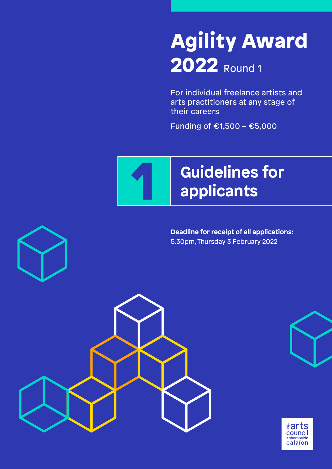# Agility Award 2022 Round 1

For individual freelance artists and arts practitioners at any stage of their careers

Funding of €1,500 – €5,000



**Deadline for receipt of all applications:**  5.30pm, Thursday 3 February 2022



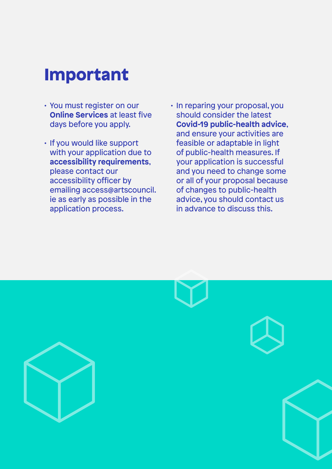## Important

- You must register on our **Online Services** at least five days before you apply.
- If you would like support with your application due to **accessibility requirements**, please contact our accessibility officer by emailing access@artscouncil. ie as early as possible in the application process.
- In reparing your proposal, you should consider the latest **Covid-19 public-health advice**, and ensure your activities are feasible or adaptable in light of public-health measures. If your application is successful and you need to change some or all of your proposal because of changes to public-health advice, you should contact us in advance to discuss this.

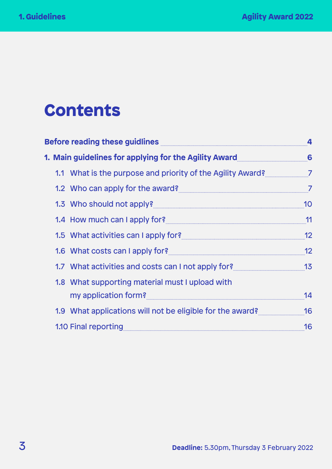## **Contents**

| Before reading these guidlines <b>Engine and Service Contract to the Service Contract Contract Contract Contract Contract Contract Contract Contract Contract Contract Contract Contract Contract Contract Contract Contract Con</b> | $\overline{\mathbf{A}}$ |
|--------------------------------------------------------------------------------------------------------------------------------------------------------------------------------------------------------------------------------------|-------------------------|
| 1. Main guidelines for applying for the Agility Award 66 66                                                                                                                                                                          |                         |
| 1.1 What is the purpose and priority of the Agility Award?                                                                                                                                                                           |                         |
| 1.2 Who can apply for the award?                                                                                                                                                                                                     | $\overline{7}$          |
| 1.3 Who should not apply?                                                                                                                                                                                                            | 10                      |
| 1.4 How much can I apply for? 19 and 100 million and 11 and 11                                                                                                                                                                       |                         |
|                                                                                                                                                                                                                                      | 12                      |
| 1.6 What costs can I apply for? <b>Manual Act 2018</b>                                                                                                                                                                               | 12                      |
| 1.7 What activities and costs can I not apply for? www.community-13                                                                                                                                                                  |                         |
| 1.8 What supporting material must I upload with                                                                                                                                                                                      |                         |
| my application form?                                                                                                                                                                                                                 | 14                      |
| 1.9 What applications will not be eligible for the award? 46                                                                                                                                                                         |                         |
| 1.10 Final reporting <b>Manual Resource of Alliance Contract Contract Contract Contract Contract Contract Contract Contract Contract Contract Contract Contract Contract Contract Contract Contract Contract Contract Contract C</b> | 16                      |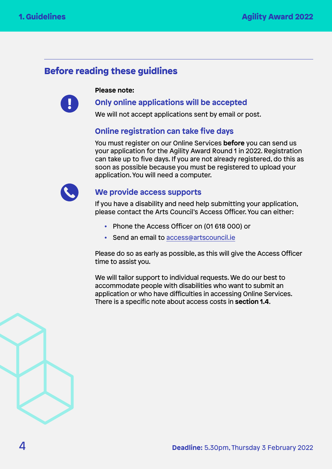## <span id="page-3-0"></span>Before reading these guidlines

**Please note:**



## **Only online applications will be accepted**

We will not accept applications sent by email or post.

### **Online registration can take five days**

You must register on our Online Services **before** you can send us your application for the Agility Award Round 1 in 2022. Registration can take up to five days. If you are not already registered, do this as soon as possible because you must be registered to upload your application. You will need a computer.



#### **We provide access supports**

If you have a disability and need help submitting your application, please contact the Arts Council's Access Officer. You can either:

- Phone the Access Officer on (01 618 000) or
- Send an email to [access@artscouncil.ie](mailto:access%40artscouncil.ie?subject=)

Please do so as early as possible, as this will give the Access Officer time to assist you.

We will tailor support to individual requests. We do our best to accommodate people with disabilities who want to submit an application or who have difficulties in accessing Online Services. There is a specific note about access costs in **section 1.4**.

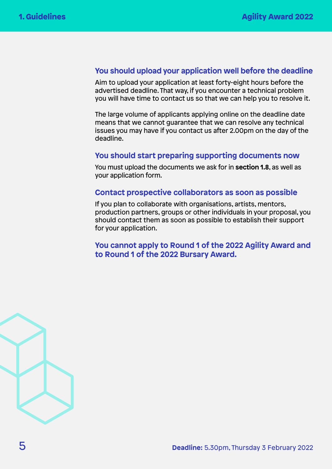#### **You should upload your application well before the deadline**

Aim to upload your application at least forty-eight hours before the advertised deadline. That way, if you encounter a technical problem you will have time to contact us so that we can help you to resolve it.

The large volume of applicants applying online on the deadline date means that we cannot guarantee that we can resolve any technical issues you may have if you contact us after 2.00pm on the day of the deadline.

#### **You should start preparing supporting documents now**

You must upload the documents we ask for in **section 1.8**, as well as your application form.

#### **Contact prospective collaborators as soon as possible**

If you plan to collaborate with organisations, artists, mentors, production partners, groups or other individuals in your proposal, you should contact them as soon as possible to establish their support for your application.

**You cannot apply to Round 1 of the 2022 Agility Award and to Round 1 of the 2022 Bursary Award.**

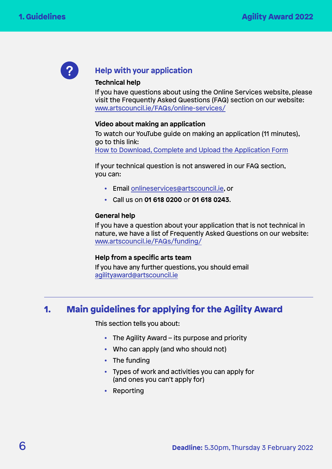<span id="page-5-0"></span>

### **Help with your application**

#### **Technical help**

If you have questions about using the Online Services website, please visit the Frequently Asked Questions (FAQ) section on our website: [www.artscouncil.ie/FAQs/online-services/](http://www.artscouncil.ie/FAQs/online-services/)

#### **Video about making an application**

To watch our YouTube guide on making an application (11 minutes), go to this link: [How to Download, Complete and Upload the Application Form](https://www.youtube.com/watch?v=-a3xeZdZj3o&ab_channel=ArtsCouncilofIreland%2FAnChomhairleEala%C3%ADon)

If your technical question is not answered in our FAQ section, you can:

- Email [onlineservices@artscouncil.ie,](mailto:onlineservices%40artscouncil.ie?subject=) or
- Call us on **01 618 0200** or **01 618 0243**.

#### **General help**

If you have a question about your application that is not technical in nature, we have a list of Frequently Asked Questions on our website: [www.artscouncil.ie/FAQs/funding/](http://www.artscouncil.ie/FAQs/funding/)

#### **Help from a specific arts team**

If you have any further questions, you should email [agilityaward@artscouncil.ie](mailto:agilityaward%40artscouncil.ie?subject=)

## 1. Main guidelines for applying for the Agility Award

This section tells you about:

- The Agility Award its purpose and priority
- Who can apply (and who should not)
- The funding
- Types of work and activities you can apply for (and ones you can't apply for)
- Reporting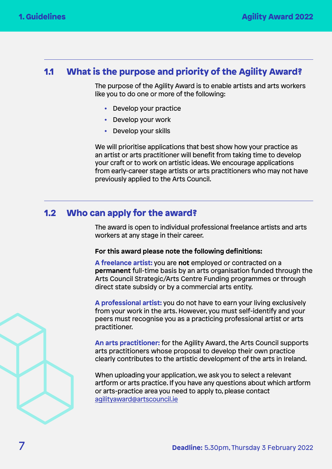## <span id="page-6-0"></span>1.1 What is the purpose and priority of the Agility Award?

The purpose of the Agility Award is to enable artists and arts workers like you to do one or more of the following:

- Develop your practice
- Develop your work
- Develop your skills

We will prioritise applications that best show how your practice as an artist or arts practitioner will benefit from taking time to develop your craft or to work on artistic ideas. We encourage applications from early-career stage artists or arts practitioners who may not have previously applied to the Arts Council.

## 1.2 Who can apply for the award?

The award is open to individual professional freelance artists and arts workers at any stage in their career.

#### **For this award please note the following definitions:**

**A freelance artist:** you are **not** employed or contracted on a **permanent** full-time basis by an arts organisation funded through the Arts Council Strategic/Arts Centre Funding programmes or through direct state subsidy or by a commercial arts entity.

**A professional artist:** you do not have to earn your living exclusively from your work in the arts. However, you must self-identify and your peers must recognise you as a practicing professional artist or arts practitioner.

**An arts practitioner:** for the Agility Award, the Arts Council supports arts practitioners whose proposal to develop their own practice clearly contributes to the artistic development of the arts in Ireland.

When uploading your application, we ask you to select a relevant artform or arts practice. If you have any questions about which artform or arts-practice area you need to apply to, please contact [agilityaward@artscouncil.ie](mailto:agilityaward%40artscouncil.ie?subject=)

$$
\sqrt{3}
$$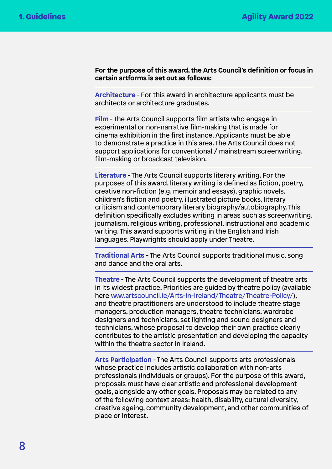**For the purpose of this award, the Arts Council's definition or focus in certain artforms is set out as follows:** 

**Architecture** - For this award in architecture applicants must be architects or architecture graduates.

**Film** - The Arts Council supports film artists who engage in experimental or non-narrative film-making that is made for cinema exhibition in the first instance. Applicants must be able to demonstrate a practice in this area. The Arts Council does not support applications for conventional / mainstream screenwriting, film-making or broadcast television.

**Literature** - The Arts Council supports literary writing. For the purposes of this award, literary writing is defined as fiction, poetry, creative non-fiction (e.g. memoir and essays), graphic novels, children's fiction and poetry, illustrated picture books, literary criticism and contemporary literary biography/autobiography. This definition specifically excludes writing in areas such as screenwriting, journalism, religious writing, professional, instructional and academic writing. This award supports writing in the English and Irish languages. Playwrights should apply under Theatre.

**Traditional Arts** - The Arts Council supports traditional music, song and dance and the oral arts.

**Theatre** - The Arts Council supports the development of theatre arts in its widest practice. Priorities are guided by theatre policy (available here [www.artscouncil.ie/Arts-in-Ireland/Theatre/Theatre-Policy/](http://www.artscouncil.ie/Arts-in-Ireland/Theatre/Theatre-Policy/)), and theatre practitioners are understood to include theatre stage managers, production managers, theatre technicians, wardrobe designers and technicians, set lighting and sound designers and technicians, whose proposal to develop their own practice clearly contributes to the artistic presentation and developing the capacity within the theatre sector in Ireland.

**Arts Participation** - The Arts Council supports arts professionals whose practice includes artistic collaboration with non-arts professionals (individuals or groups). For the purpose of this award, proposals must have clear artistic and professional development goals, alongside any other goals. Proposals may be related to any of the following context areas: health, disability, cultural diversity, creative ageing, community development, and other communities of place or interest.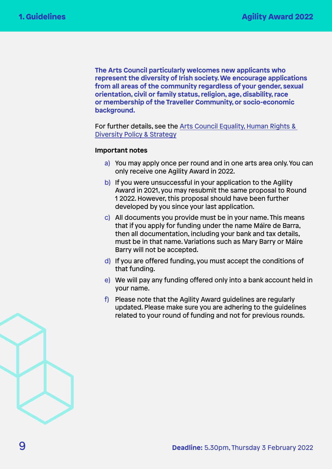**The Arts Council particularly welcomes new applicants who represent the diversity of Irish society. We encourage applications from all areas of the community regardless of your gender, sexual orientation, civil or family status, religion, age, disability, race or membership of the Traveller Community, or socio-economic background.** 

For further details, see the [Arts Council Equality, Human Rights &](http://www.artscouncil.ie/uploadedFiles/EHRD%20Policy%20English%20version%20Final.pdf)  [Diversity Policy & Strategy](http://www.artscouncil.ie/uploadedFiles/EHRD%20Policy%20English%20version%20Final.pdf)

#### **Important notes**

- a) You may apply once per round and in one arts area only. You can only receive one Agility Award in 2022.
- b) If you were unsuccessful in your application to the Agility Award in 2021, you may resubmit the same proposal to Round 1 2022. However, this proposal should have been further developed by you since your last application.
- c) All documents you provide must be in your name. This means that if you apply for funding under the name Máire de Barra, then all documentation, including your bank and tax details, must be in that name. Variations such as Mary Barry or Máire Barry will not be accepted.
- d) If you are offered funding, you must accept the conditions of that funding.
- e) We will pay any funding offered only into a bank account held in your name.
- f) Please note that the Agility Award guidelines are regularly updated. Please make sure you are adhering to the guidelines related to your round of funding and not for previous rounds.

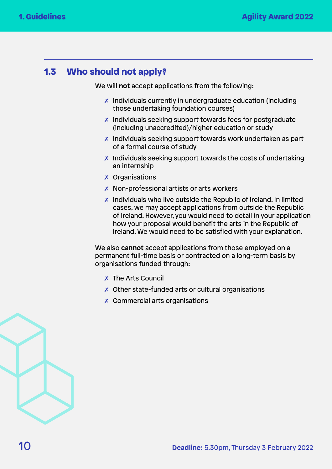## <span id="page-9-0"></span>1.3 Who should not apply?

We will **not** accept applications from the following:

- ✗ Individuals currently in undergraduate education (including those undertaking foundation courses)
- ✗ Individuals seeking support towards fees for postgraduate (including unaccredited)/higher education or study
- ✗ Individuals seeking support towards work undertaken as part of a formal course of study
- $\chi$  Individuals seeking support towards the costs of undertaking an internship
- ✗ Organisations
- ✗ Non-professional artists or arts workers
- $\chi$  Individuals who live outside the Republic of Ireland. In limited cases, we may accept applications from outside the Republic of Ireland. However, you would need to detail in your application how your proposal would benefit the arts in the Republic of Ireland. We would need to be satisfied with your explanation.

We also **cannot** accept applications from those employed on a permanent full-time basis or contracted on a long-term basis by organisations funded through:

- ✗ The Arts Council
- ✗ Other state-funded arts or cultural organisations
- ✗ Commercial arts organisations

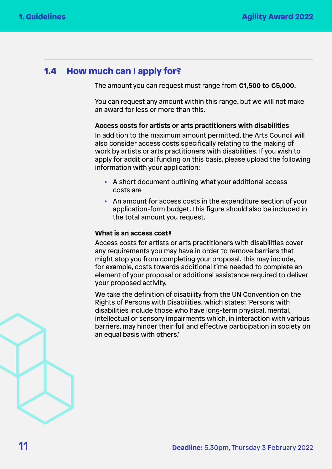## <span id="page-10-0"></span>1.4 How much can I apply for?

The amount you can request must range from **€1,500** to **€5,000**.

You can request any amount within this range, but we will not make an award for less or more than this.

#### **Access costs for artists or arts practitioners with disabilities**

In addition to the maximum amount permitted, the Arts Council will also consider access costs specifically relating to the making of work by artists or arts practitioners with disabilities. If you wish to apply for additional funding on this basis, please upload the following information with your application:

- A short document outlining what your additional access costs are
- An amount for access costs in the expenditure section of your application-form budget. This figure should also be included in the total amount you request.

#### **What is an access cost?**

Access costs for artists or arts practitioners with disabilities cover any requirements you may have in order to remove barriers that might stop you from completing your proposal. This may include, for example, costs towards additional time needed to complete an element of your proposal or additional assistance required to deliver your proposed activity.

We take the definition of disability from the UN Convention on the Rights of Persons with Disabilities, which states: 'Persons with disabilities include those who have long-term physical, mental, intellectual or sensory impairments which, in interaction with various barriers, may hinder their full and effective participation in society on an equal basis with others.'

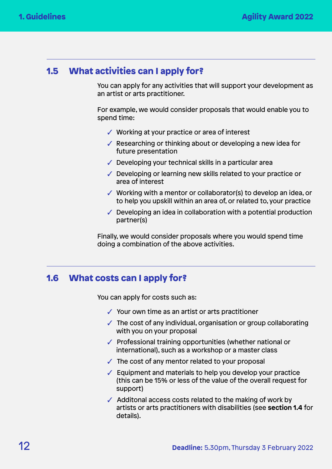## <span id="page-11-0"></span>1.5 What activities can I apply for?

You can apply for any activities that will support your development as an artist or arts practitioner.

For example, we would consider proposals that would enable you to spend time:

- ✓ Working at your practice or area of interest
- $\sqrt{\ }$  Researching or thinking about or developing a new idea for future presentation
- $\sqrt{\phantom{a}}$  Developing your technical skills in a particular area
- ✓ Developing or learning new skills related to your practice or area of interest
- ✓ Working with a mentor or collaborator(s) to develop an idea, or to help you upskill within an area of, or related to, your practice
- $\checkmark$  Developing an idea in collaboration with a potential production partner(s)

Finally, we would consider proposals where you would spend time doing a combination of the above activities.

## 1.6 What costs can I apply for?

You can apply for costs such as:

- ✓ Your own time as an artist or arts practitioner
- $\sqrt{\ }$  The cost of any individual, organisation or group collaborating with you on your proposal
- ✓ Professional training opportunities (whether national or international), such as a workshop or a master class
- $\checkmark$  The cost of any mentor related to your proposal
- ✓ Equipment and materials to help you develop your practice (this can be 15% or less of the value of the overall request for support)
- $\sqrt{\phantom{a}}$  Additonal access costs related to the making of work by artists or arts practitioners with disabilities (see **section 1.4** for details).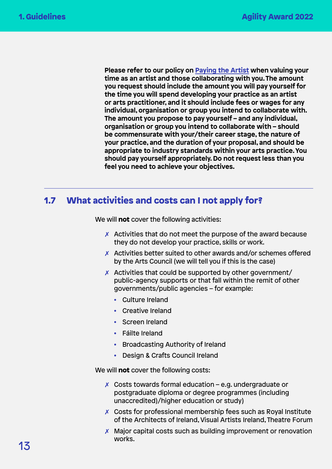<span id="page-12-0"></span> **Please refer to our policy on [Paying the Artist](http://www.artscouncil.ie/uploadedFiles/Main_Site/Content/About_Us/Paying%20the%20Artist%20(Single%20Page%20-%20EN).pdf) when valuing your time as an artist and those collaborating with you. The amount you request should include the amount you will pay yourself for the time you will spend developing your practice as an artist or arts practitioner, and it should include fees or wages for any individual, organisation or group you intend to collaborate with. The amount you propose to pay yourself – and any individual, organisation or group you intend to collaborate with – should be commensurate with your/their career stage, the nature of your practice, and the duration of your proposal, and should be appropriate to industry standards within your arts practice. You should pay yourself appropriately. Do not request less than you feel you need to achieve your objectives.**

## 1.7 What activities and costs can I not apply for?

We will **not** cover the following activities:

- $\chi$  Activities that do not meet the purpose of the award because they do not develop your practice, skills or work.
- ✗ Activities better suited to other awards and/or schemes offered by the Arts Council (we will tell you if this is the case)
- $\chi$  Activities that could be supported by other government/ public-agency supports or that fall within the remit of other governments/public agencies – for example:
	- Culture Ireland
	- Creative Ireland
	- Screen Ireland
	- Fáilte Ireland
	- Broadcasting Authority of Ireland
	- Design & Crafts Council Ireland

We will **not** cover the following costs:

- $x$  Costs towards formal education e.g. undergraduate or postgraduate diploma or degree programmes (including unaccredited)/higher education or study)
- ✗ Costs for professional membership fees such as Royal Institute of the Architects of Ireland, Visual Artists Ireland, Theatre Forum
- $\chi$  Major capital costs such as building improvement or renovation works.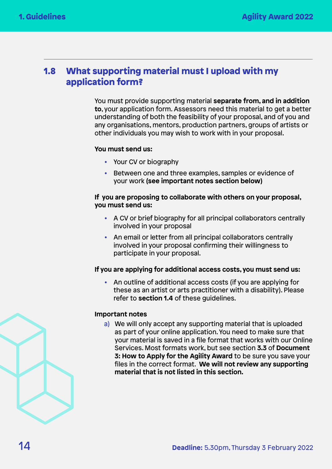## <span id="page-13-0"></span>1.8 What supporting material must I upload with my application form?

You must provide supporting material **separate from, and in addition to**, your application form. Assessors need this material to get a better understanding of both the feasibility of your proposal, and of you and any organisations, mentors, production partners, groups of artists or other individuals you may wish to work with in your proposal.

#### **You must send us:**

- Your CV or biography
- Between one and three examples, samples or evidence of your work **(see important notes section below)**

#### **If you are proposing to collaborate with others on your proposal, you must send us:**

- A CV or brief biography for all principal collaborators centrally involved in your proposal
- An email or letter from all principal collaborators centrally involved in your proposal confirming their willingness to participate in your proposal.

#### **If you are applying for additional access costs, you must send us:**

• An outline of additional access costs (if you are applying for these as an artist or arts practitioner with a disability). Please refer to **section 1.4** of these guidelines.

#### **Important notes**

a) We will only accept any supporting material that is uploaded as part of your online application. You need to make sure that your material is saved in a file format that works with our Online Services. Most formats work, but see section **3.3** of **Document 3: How to Apply for the Agility Award** to be sure you save your files in the correct format. **We will not review any supporting material that is not listed in this section.**

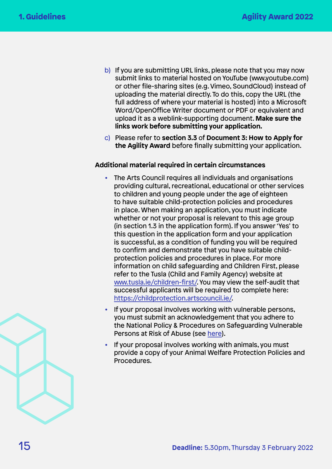- b) If you are submitting URL links, please note that you may now submit links to material hosted on YouTube (www.youtube.com) or other file-sharing sites (e.g. Vimeo, SoundCloud) instead of uploading the material directly. To do this, copy the URL (the full address of where your material is hosted) into a Microsoft Word/OpenOffice Writer document or PDF or equivalent and upload it as a weblink-supporting document. **Make sure the links work before submitting your application.**
- c) Please refer to **section 3.3** of **Document 3: How to Apply for the Agility Award** before finally submitting your application.

#### **Additional material required in certain circumstances**

- The Arts Council requires all individuals and organisations providing cultural, recreational, educational or other services to children and young people under the age of eighteen to have suitable child-protection policies and procedures in place. When making an application, you must indicate whether or not your proposal is relevant to this age group (in section 1.3 in the application form). If you answer 'Yes' to this question in the application form and your application is successful, as a condition of funding you will be required to confirm and demonstrate that you have suitable childprotection policies and procedures in place. For more information on child safeguarding and Children First, please refer to the Tusla (Child and Family Agency) website at [www.tusla.ie/children-first/.](http://www.tusla.ie/children-first/) You may view the self-audit that successful applicants will be required to complete here: [https://childprotection.artscouncil.ie/.](https://childprotection.artscouncil.ie/)
- If your proposal involves working with vulnerable persons, you must submit an acknowledgement that you adhere to the National Policy & Procedures on Safeguarding Vulnerable Persons at Risk of Abuse (see [here](https://www.hse.ie/eng/about/who/socialcare/safeguardingvulnerableadults/)).
- If your proposal involves working with animals, you must provide a copy of your Animal Welfare Protection Policies and Procedures.

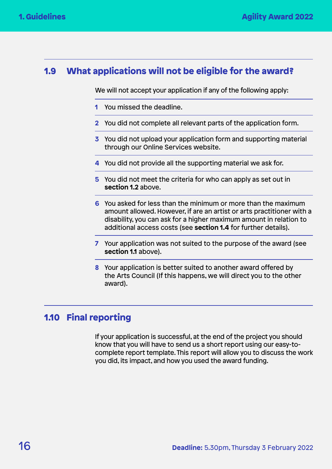## <span id="page-15-0"></span>1.9 What applications will not be eligible for the award?

We will not accept your application if any of the following apply:

- **1** You missed the deadline.
- **2** You did not complete all relevant parts of the application form.
- **3** You did not upload your application form and supporting material through our Online Services website.
- **4** You did not provide all the supporting material we ask for.
- **5** You did not meet the criteria for who can apply as set out in **section 1.2** above.
- **6** You asked for less than the minimum or more than the maximum amount allowed. However, if are an artist or arts practitioner with a disability, you can ask for a higher maximum amount in relation to additional access costs (see **section 1.4** for further details).
- **7** Your application was not suited to the purpose of the award (see **section 1.1** above).
- **8** Your application is better suited to another award offered by the Arts Council (If this happens, we will direct you to the other award).

## 1.10 Final reporting

If your application is successful, at the end of the project you should know that you will have to send us a short report using our easy-tocomplete report template. This report will allow you to discuss the work you did, its impact, and how you used the award funding.